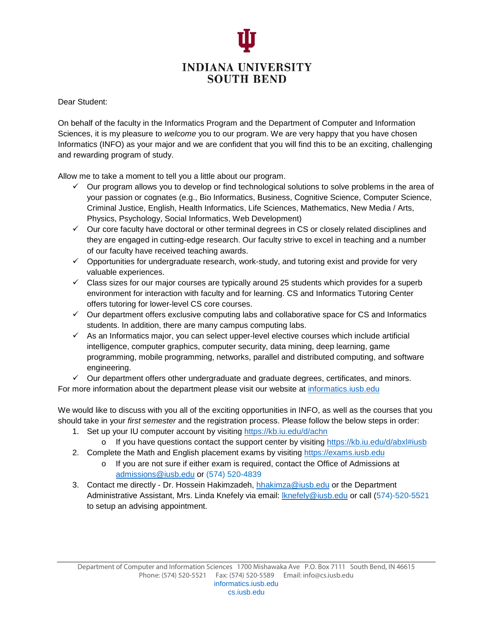

Dear Student:

On behalf of the faculty in the Informatics Program and the Department of Computer and Information Sciences, it is my pleasure to *welcome* you to our program. We are very happy that you have chosen Informatics (INFO) as your major and we are confident that you will find this to be an exciting, challenging and rewarding program of study.

Allow me to take a moment to tell you a little about our program.

- $\checkmark$  Our program allows you to develop or find technological solutions to solve problems in the area of your passion or cognates (e.g., Bio Informatics, Business, Cognitive Science, Computer Science, Criminal Justice, English, Health Informatics, Life Sciences, Mathematics, New Media / Arts, Physics, Psychology, Social Informatics, Web Development)
- $\checkmark$  Our core faculty have doctoral or other terminal degrees in CS or closely related disciplines and they are engaged in cutting-edge research. Our faculty strive to excel in teaching and a number of our faculty have received teaching awards.
- $\checkmark$  Opportunities for undergraduate research, work-study, and tutoring exist and provide for very valuable experiences.
- $\checkmark$  Class sizes for our major courses are typically around 25 students which provides for a superb environment for interaction with faculty and for learning. CS and Informatics Tutoring Center offers tutoring for lower-level CS core courses.
- $\checkmark$  Our department offers exclusive computing labs and collaborative space for CS and Informatics students. In addition, there are many campus computing labs.
- $\checkmark$  As an Informatics major, you can select upper-level elective courses which include artificial intelligence, computer graphics, computer security, data mining, deep learning, game programming, mobile programming, networks, parallel and distributed computing, and software engineering.
- $\checkmark$  Our department offers other undergraduate and graduate degrees, certificates, and minors.

For more information about the department please visit our website at [informatics.iusb.edu](http://informatics.iusb.edu/)

We would like to discuss with you all of the exciting opportunities in INFO, as well as the courses that you should take in your *first semester* and the registration process. Please follow the below steps in order:

- 1. Set up your IU computer account by visiting <https://kb.iu.edu/d/achn>
	- o If you have questions contact the support center by visiting<https://kb.iu.edu/d/abxl#iusb>
- 2. Complete the Math and English placement exams by visiting [https://exams.iusb.edu](https://exams.iusb.edu/)
	- o If you are not sure if either exam is required, contact the Office of Admissions at [admissions@iusb.edu](mailto:admissions@iusb.edu) or (574) 520-4839
- 3. Contact me directly Dr. Hossein Hakimzadeh, [hhakimza@iusb.edu](mailto:hhakimza@iusb.edu) or the Department Administrative Assistant, Mrs. Linda Knefely via email: **Knefely@iusb.edu or call (574)-520-5521** to setup an advising appointment.